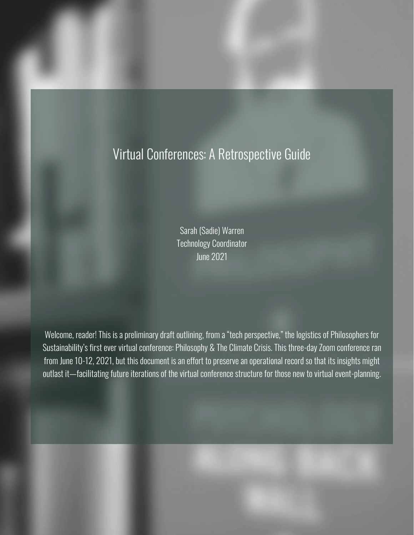# Virtual Conferences: A Retrospective Guide

Sarah (Sadie) Warren Technology Coordinator June 2021

Welcome, reader! This is a preliminary draft outlining, from a "tech perspective," the logistics of Philosophers for Sustainability's first ever virtual conference: Philosophy & The Climate Crisis. This three-day Zoom conference ran from June 10-12, 2021, but this document is an effort to preserve an operational record so that its insights might outlast it—facilitating future iterations of the virtual conference structure for those new to virtual event-planning.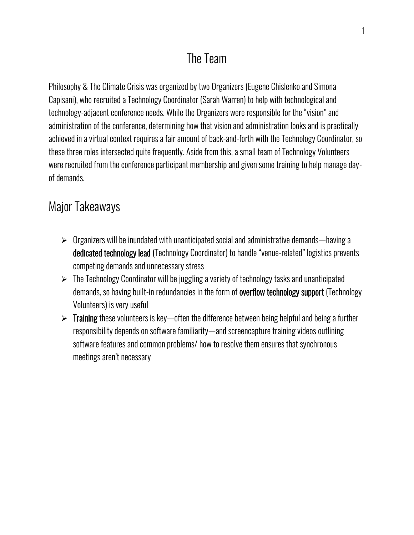# The Team

Philosophy & The Climate Crisis was organized by two Organizers (Eugene Chislenko and Simona Capisani), who recruited a Technology Coordinator (Sarah Warren) to help with technological and technology-adjacent conference needs. While the Organizers were responsible for the "vision" and administration of the conference, determining how that vision and administration looks and is practically achieved in a virtual context requires a fair amount of back-and-forth with the Technology Coordinator, so these three roles intersected quite frequently. Aside from this, a small team of Technology Volunteers were recruited from the conference participant membership and given some training to help manage dayof demands.

## Major Takeaways

- $\triangleright$  Organizers will be inundated with unanticipated social and administrative demands—having a dedicated technology lead (Technology Coordinator) to handle "venue-related" logistics prevents competing demands and unnecessary stress
- ➢ The Technology Coordinator will be juggling a variety of technology tasks and unanticipated demands, so having built-in redundancies in the form of **overflow technology support** (Technology Volunteers) is very useful
- $\triangleright$  Training these volunteers is key—often the difference between being helpful and being a further responsibility depends on software familiarity—and screencapture training videos outlining software features and common problems/ how to resolve them ensures that synchronous meetings aren't necessary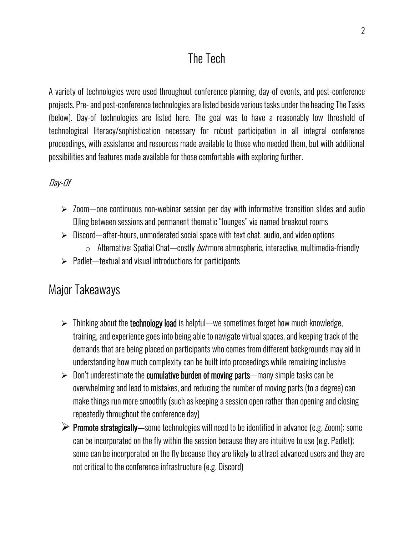# The Tech

A variety of technologies were used throughout conference planning, day-of events, and post-conference projects. Pre-and post-conference technologies are listed beside various tasks under the heading The Tasks (below). Day-of technologies are listed here. The goal was to have a reasonably low threshold of technological literacy/sophistication necessary for robust participation in all integral conference proceedings, with assistance and resources made available to those who needed them, but with additional possibilities and features made available for those comfortable with exploring further.

#### Day-Of

- $\geq$  Zoom—one continuous non-webinar session per day with informative transition slides and audio DJing between sessions and permanent thematic "lounges" via named breakout rooms
- $\triangleright$  Discord—after-hours, unmoderated social space with text chat, audio, and video options
	- $\circ$  Alternative: Spatial Chat—costly *but* more atmospheric, interactive, multimedia-friendly
- $\triangleright$  Padlet—textual and visual introductions for participants

## Major Takeaways

- $\triangleright$  Thinking about the **technology load** is helpful—we sometimes forget how much knowledge, training, and experience goes into being able to navigate virtual spaces, and keeping track of the demands that are being placed on participants who comes from different backgrounds may aid in understanding how much complexity can be built into proceedings while remaining inclusive
- $\triangleright$  Don't underestimate the cumulative burden of moving parts—many simple tasks can be overwhelming and lead to mistakes, and reducing the number of moving parts (to a degree) can make things run more smoothly (such as keeping a session open rather than opening and closing repeatedly throughout the conference day)
- $\triangleright$  Promote strategically—some technologies will need to be identified in advance (e.g. Zoom); some can be incorporated on the fly within the session because they are intuitive to use (e.g. Padlet); some can be incorporated on the fly because they are likely to attract advanced users and they are not critical to the conference infrastructure (e.g. Discord)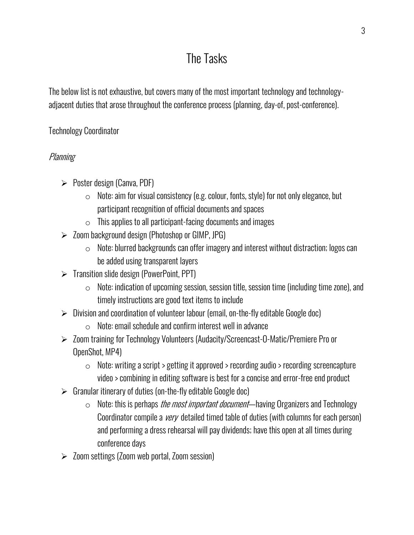# The Tasks

The below list is not exhaustive, but covers many of the most important technology and technologyadjacent duties that arose throughout the conference process (planning, day-of, post-conference).

### Technology Coordinator

### **Planning**

- ➢ Poster design (Canva, PDF)
	- $\circ$  Note: aim for visual consistency (e.g. colour, fonts, style) for not only elegance, but participant recognition of official documents and spaces
	- $\circ$  This applies to all participant-facing documents and images
- ➢ Zoom background design (Photoshop or GIMP, JPG)
	- $\circ$  Note: blurred backgrounds can offer imagery and interest without distraction; logos can be added using transparent layers
- ➢ Transition slide design (PowerPoint, PPT)
	- $\circ$  Note: indication of upcoming session, session title, session time (including time zone), and timely instructions are good text items to include
- ➢ Division and coordination of volunteer labour (email, on-the-fly editable Google doc)
	- o Note: email schedule and confirm interest well in advance
- ➢ Zoom training for Technology Volunteers (Audacity/Screencast-O-Matic/Premiere Pro or OpenShot, MP4)
	- o Note: writing a script > getting it approved > recording audio > recording screencapture video > combining in editing software is best for a concise and error-free end product
- $\triangleright$  Granular itinerary of duties (on-the-fly editable Google doc)
	- $\circ$  Note: this is perhaps *the most important document*—having Organizers and Technology Coordinator compile a *very* detailed timed table of duties (with columns for each person) and performing a dress rehearsal will pay dividends; have this open at all times during conference days
- ➢ Zoom settings (Zoom web portal, Zoom session)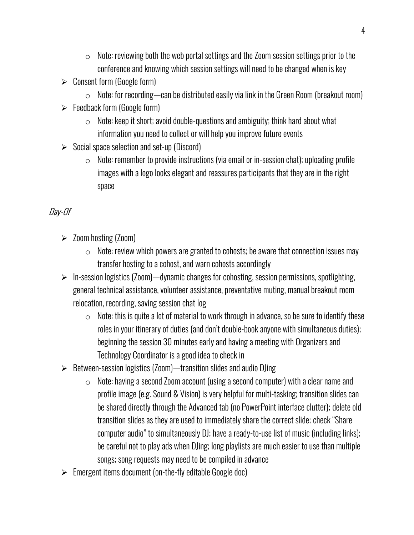- $\circ$  Note: reviewing both the web portal settings and the Zoom session settings prior to the conference and knowing which session settings will need to be changed when is key
- $\triangleright$  Consent form (Google form)
	- $\circ$  Note: for recording—can be distributed easily via link in the Green Room (breakout room)
- $\triangleright$  Feedback form (Google form)
	- $\circ$  Note: keep it short; avoid double-questions and ambiguity; think hard about what information you need to collect or will help you improve future events
- $\triangleright$  Social space selection and set-up (Discord)
	- $\circ$  Note: remember to provide instructions (via email or in-session chat); uploading profile images with a logo looks elegant and reassures participants that they are in the right space

### Day-Of

- ➢ Zoom hosting (Zoom)
	- $\circ$  Note: review which powers are granted to cohosts; be aware that connection issues may transfer hosting to a cohost, and warn cohosts accordingly
- ➢ In-session logistics (Zoom)—dynamic changes for cohosting, session permissions, spotlighting, general technical assistance, volunteer assistance, preventative muting, manual breakout room relocation, recording, saving session chat log
	- $\circ$  Note: this is quite a lot of material to work through in advance, so be sure to identify these roles in your itinerary of duties (and don't double-book anyone with simultaneous duties); beginning the session 30 minutes early and having a meeting with Organizers and Technology Coordinator is a good idea to check in
- ➢ Between-session logistics (Zoom)—transition slides and audio DJing
	- $\circ$  Note: having a second Zoom account (using a second computer) with a clear name and profile image (e.g. Sound & Vision) is very helpful for multi-tasking; transition slides can be shared directly through the Advanced tab (no PowerPoint interface clutter); delete old transition slides as they are used to immediately share the correct slide; check "Share computer audio" to simultaneously DJ; have a ready-to-use list of music (including links); be careful not to play ads when DJing; long playlists are much easier to use than multiple songs; song requests may need to be compiled in advance
- ➢ Emergent items document (on-the-fly editable Google doc)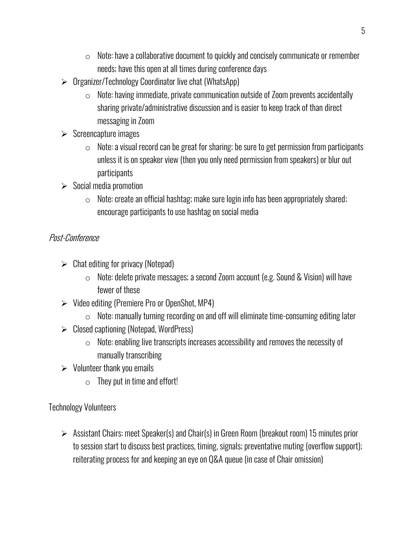- $\circ$  Note: have a collaborative document to quickly and concisely communicate or remember needs; have this open at all times during conference days
- ➢ Organizer/Technology Coordinator live chat (WhatsApp)
	- $\circ$  Note: having immediate, private communication outside of Zoom prevents accidentally sharing private/administrative discussion and is easier to keep track of than direct messaging in Zoom
- $\triangleright$  Screencapture images
	- $\circ$  Note: a visual record can be great for sharing; be sure to get permission from participants unless it is on speaker view (then you only need permission from speakers) or blur out participants
- $\triangleright$  Social media promotion
	- $\circ$  Note: create an official hashtag; make sure login info has been appropriately shared; encourage participants to use hashtag on social media

### Post-Conference

- $\triangleright$  Chat editing for privacy (Notepad)
	- o Note: delete private messages; a second Zoom account (e.g. Sound & Vision) will have fewer of these
- ➢ Video editing (Premiere Pro or OpenShot, MP4)
	- $\circ$  Note: manually turning recording on and off will eliminate time-consuming editing later
- ➢ Closed captioning (Notepad, WordPress)
	- $\circ$  Note: enabling live transcripts increases accessibility and removes the necessity of manually transcribing
- $\triangleright$  Volunteer thank you emails
	- $\circ$  They put in time and effort!

Technology Volunteers

➢ Assistant Chairs: meet Speaker(s) and Chair(s) in Green Room (breakout room) 15 minutes prior to session start to discuss best practices, timing, signals; preventative muting (overflow support); reiterating process for and keeping an eye on Q&A queue (in case of Chair omission)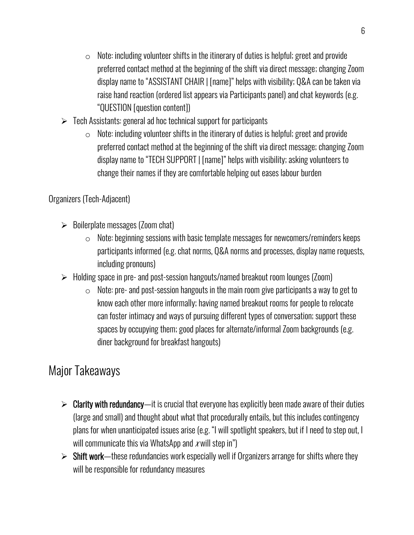- $\circ$  Note: including volunteer shifts in the itinerary of duties is helpful; greet and provide preferred contact method at the beginning of the shift via direct message; changing Zoom display name to "ASSISTANT CHAIR | [name]" helps with visibility; Q&A can be taken via raise hand reaction (ordered list appears via Participants panel) and chat keywords (e.g. "QUESTION [question content])
- $\triangleright$  Tech Assistants: general ad hoc technical support for participants
	- $\circ$  Note: including volunteer shifts in the itinerary of duties is helpful; greet and provide preferred contact method at the beginning of the shift via direct message; changing Zoom display name to "TECH SUPPORT | [name]" helps with visibility; asking volunteers to change their names if they are comfortable helping out eases labour burden

### Organizers (Tech-Adjacent)

- $\triangleright$  Boilerplate messages (Zoom chat)
	- $\circ$  Note: beginning sessions with basic template messages for newcomers/reminders keeps participants informed (e.g. chat norms, Q&A norms and processes, display name requests, including pronouns)
- ➢ Holding space in pre- and post-session hangouts/named breakout room lounges (Zoom)
	- $\circ$  Note: pre- and post-session hangouts in the main room give participants a way to get to know each other more informally; having named breakout rooms for people to relocate can foster intimacy and ways of pursuing different types of conversation; support these spaces by occupying them; good places for alternate/informal Zoom backgrounds (e.g. diner background for breakfast hangouts)

## Major Takeaways

- $\triangleright$  Clarity with redundancy—it is crucial that everyone has explicitly been made aware of their duties (large and small) and thought about what that procedurally entails, but this includes contingency plans for when unanticipated issues arise (e.g. "I will spotlight speakers, but if I need to step out, I will communicate this via WhatsApp and  $x$  will step in")
- ➢ Shift work—these redundancies work especially well if Organizers arrange for shifts where they will be responsible for redundancy measures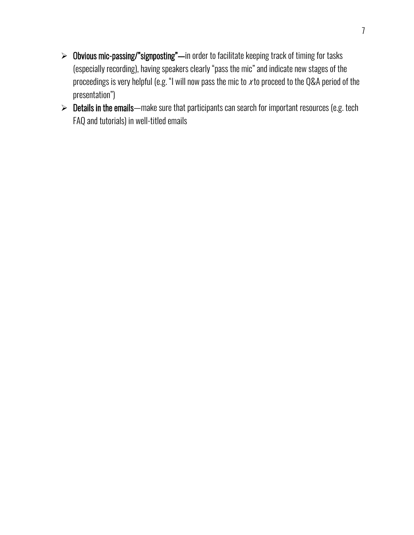- ➢ Obvious mic-passing/"signposting"—in order to facilitate keeping track of timing for tasks (especially recording), having speakers clearly "pass the mic" and indicate new stages of the proceedings is very helpful (e.g. "I will now pass the mic to x to proceed to the Q&A period of the presentation")
- ➢ Details in the emails—make sure that participants can search for important resources (e.g. tech FAQ and tutorials) in well-titled emails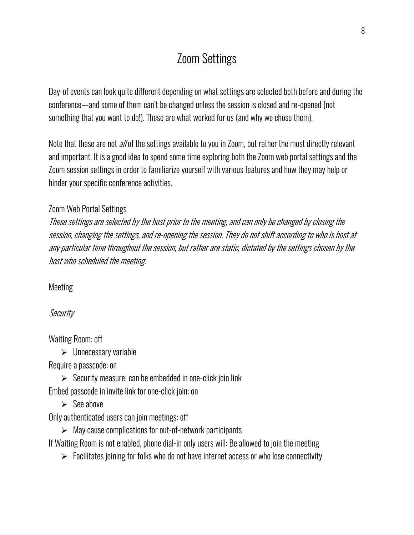# Zoom Settings

Day-of events can look quite different depending on what settings are selected both before and during the conference—and some of them can't be changed unless the session is closed and re-opened (not something that you want to do!). These are what worked for us (and why we chose them).

Note that these are not *all* of the settings available to you in Zoom, but rather the most directly relevant and important. It is a good idea to spend some time exploring both the Zoom web portal settings and the Zoom session settings in order to familiarize yourself with various features and how they may help or hinder your specific conference activities.

#### Zoom Web Portal Settings

These settings are selected by the host prior to the meeting, and can only be changed by closing the session, changing the settings, and re-opening the session. They do not shift according to who is host at any particular time throughout the session, but rather are static, dictated by the settings chosen by the host who scheduled the meeting.

Meeting

Security

Waiting Room: off

 $\triangleright$  Unnecessary variable

Require a passcode: on

 $\triangleright$  Security measure; can be embedded in one-click join link

Embed passcode in invite link for one-click join: on

 $\triangleright$  See above

Only authenticated users can join meetings: off

 $\triangleright$  May cause complications for out-of-network participants

If Waiting Room is not enabled, phone dial-in only users will: Be allowed to join the meeting

 $\triangleright$  Facilitates joining for folks who do not have internet access or who lose connectivity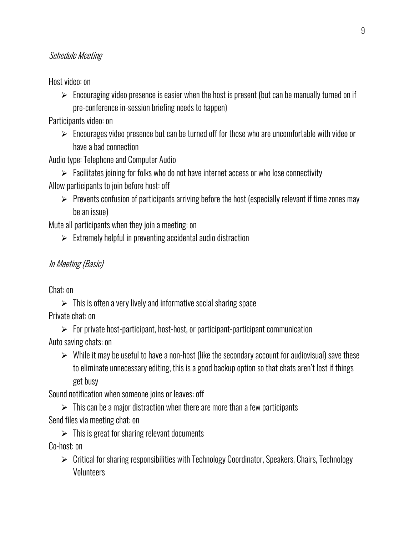### Schedule Meeting

Host video: on

➢ Encouraging video presence is easier when the host is present (but can be manually turned on if pre-conference in-session briefing needs to happen)

Participants video: on

 $\triangleright$  Encourages video presence but can be turned off for those who are uncomfortable with video or have a bad connection

Audio type: Telephone and Computer Audio

 $\triangleright$  Facilitates joining for folks who do not have internet access or who lose connectivity Allow participants to join before host: off

 $\triangleright$  Prevents confusion of participants arriving before the host (especially relevant if time zones may be an issue)

Mute all participants when they join a meeting: on

 $\triangleright$  Extremely helpful in preventing accidental audio distraction

#### In Meeting (Basic)

Chat: on

 $\triangleright$  This is often a very lively and informative social sharing space

Private chat: on

- $\triangleright$  For private host-participant, host-host, or participant-participant communication Auto saving chats: on
	- $\triangleright$  While it may be useful to have a non-host (like the secondary account for audiovisual) save these to eliminate unnecessary editing, this is a good backup option so that chats aren't lost if things get busy

Sound notification when someone joins or leaves: off

 $\triangleright$  This can be a major distraction when there are more than a few participants Send files via meeting chat: on

 $\triangleright$  This is great for sharing relevant documents Co-host: on

➢ Critical for sharing responsibilities with Technology Coordinator, Speakers, Chairs, Technology **Volunteers**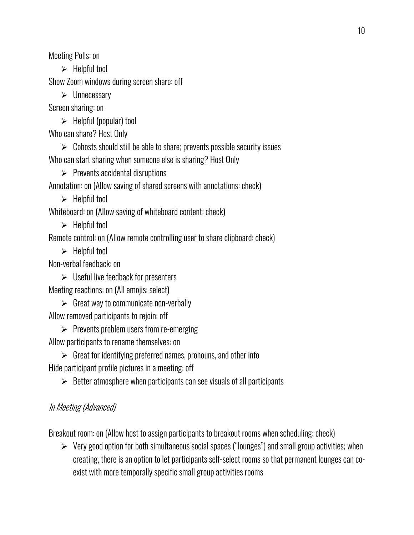Meeting Polls: on

 $\blacktriangleright$  Helpful tool

Show Zoom windows during screen share: off

➢ Unnecessary

Screen sharing: on

 $\triangleright$  Helpful (popular) tool

Who can share? Host Only

 $\triangleright$  Cohosts should still be able to share; prevents possible security issues Who can start sharing when someone else is sharing? Host Only

 $\triangleright$  Prevents accidental disruptions

Annotation: on (Allow saving of shared screens with annotations: check)

➢ Helpful tool

Whiteboard: on (Allow saving of whiteboard content: check)

 $\triangleright$  Helpful tool

Remote control: on (Allow remote controlling user to share clipboard: check)

 $\blacktriangleright$  Helpful tool

Non-verbal feedback: on

 $\triangleright$  Useful live feedback for presenters Meeting reactions: on (All emojis: select)

 $\triangleright$  Great way to communicate non-verbally

Allow removed participants to rejoin: off

➢ Prevents problem users from re-emerging Allow participants to rename themselves: on

 $\triangleright$  Great for identifying preferred names, pronouns, and other info Hide participant profile pictures in a meeting: off

➢ Better atmosphere when participants can see visuals of all participants

## In Meeting (Advanced)

Breakout room: on (Allow host to assign participants to breakout rooms when scheduling: check)

➢ Very good option for both simultaneous social spaces ("lounges") and small group activities; when creating, there is an option to let participants self-select rooms so that permanent lounges can coexist with more temporally specific small group activities rooms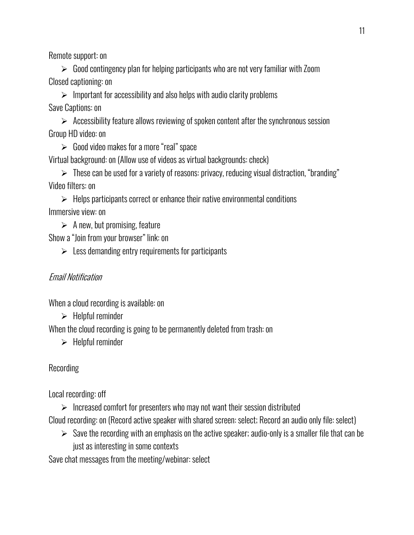Remote support: on

➢ Good contingency plan for helping participants who are not very familiar with Zoom Closed captioning: on

 $\triangleright$  Important for accessibility and also helps with audio clarity problems Save Captions: on

➢ Accessibility feature allows reviewing of spoken content after the synchronous session Group HD video: on

 $\triangleright$  Good video makes for a more "real" space

Virtual background: on (Allow use of videos as virtual backgrounds: check)

➢ These can be used for a variety of reasons: privacy, reducing visual distraction, "branding" Video filters: on

 $\triangleright$  Helps participants correct or enhance their native environmental conditions Immersive view: on

 $\triangleright$  A new, but promising, feature

Show a "Join from your browser" link: on

 $\geqslant$  Less demanding entry requirements for participants

### Email Notification

When a cloud recording is available: on

 $\triangleright$  Helpful reminder

When the cloud recording is going to be permanently deleted from trash: on

➢ Helpful reminder

Recording

Local recording: off

 $\triangleright$  Increased comfort for presenters who may not want their session distributed

Cloud recording: on (Record active speaker with shared screen: select; Record an audio only file: select)

 $\triangleright$  Save the recording with an emphasis on the active speaker; audio-only is a smaller file that can be just as interesting in some contexts

Save chat messages from the meeting/webinar: select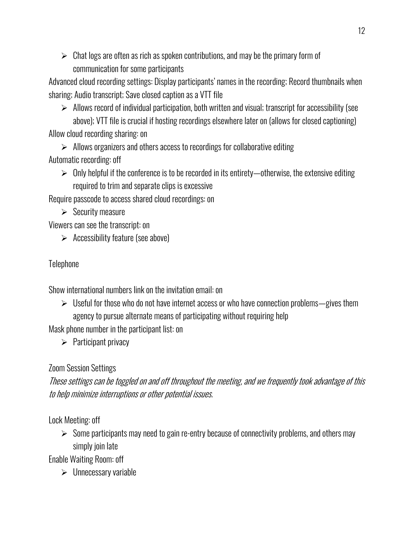$\triangleright$  Chat logs are often as rich as spoken contributions, and may be the primary form of communication for some participants

Advanced cloud recording settings: Display participants' names in the recording; Record thumbnails when sharing; Audio transcript; Save closed caption as a VTT file

 $\triangleright$  Allows record of individual participation, both written and visual; transcript for accessibility (see above); VTT file is crucial if hosting recordings elsewhere later on (allows for closed captioning) Allow cloud recording sharing: on

➢ Allows organizers and others access to recordings for collaborative editing Automatic recording: off

 $\triangleright$  Only helpful if the conference is to be recorded in its entirety—otherwise, the extensive editing required to trim and separate clips is excessive

Require passcode to access shared cloud recordings: on

 $\triangleright$  Security measure

Viewers can see the transcript: on

 $\triangleright$  Accessibility feature (see above)

## **Telephone**

Show international numbers link on the invitation email: on

➢ Useful for those who do not have internet access or who have connection problems—gives them agency to pursue alternate means of participating without requiring help

Mask phone number in the participant list: on

 $\triangleright$  Participant privacy

## Zoom Session Settings

These settings can be toggled on and off throughout the meeting, and we frequently took advantage of this to help minimize interruptions or other potential issues.

Lock Meeting: off

 $\triangleright$  Some participants may need to gain re-entry because of connectivity problems, and others may simply join late

Enable Waiting Room: off

➢ Unnecessary variable